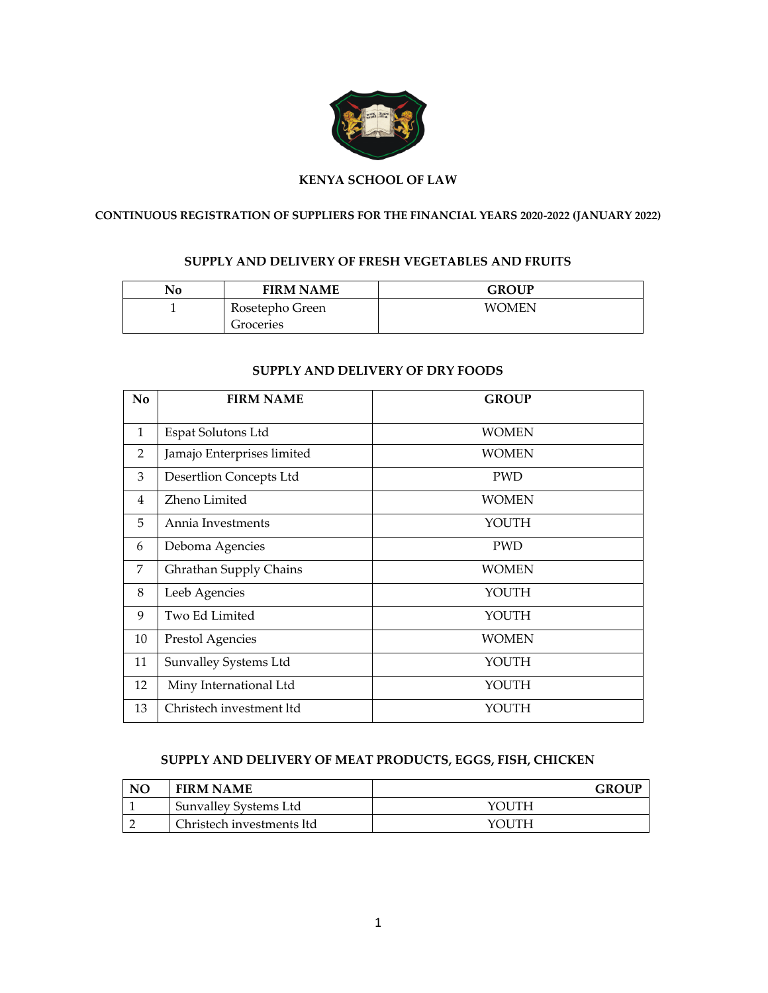

### **KENYA SCHOOL OF LAW**

# **CONTINUOUS REGISTRATION OF SUPPLIERS FOR THE FINANCIAL YEARS 2020-2022 (JANUARY 2022)**

#### **SUPPLY AND DELIVERY OF FRESH VEGETABLES AND FRUITS**

| No | <b>FIRM NAME</b> | <b>GROUP</b> |
|----|------------------|--------------|
|    | Rosetepho Green  | <b>WOMEN</b> |
|    | Groceries        |              |

#### **SUPPLY AND DELIVERY OF DRY FOODS**

| N <sub>o</sub> | <b>FIRM NAME</b>               | <b>GROUP</b> |
|----------------|--------------------------------|--------------|
| $\mathbf{1}$   | Espat Solutons Ltd             | <b>WOMEN</b> |
| $\overline{2}$ | Jamajo Enterprises limited     | <b>WOMEN</b> |
| 3              | <b>Desertlion Concepts Ltd</b> | <b>PWD</b>   |
| 4              | Zheno Limited                  | <b>WOMEN</b> |
| 5              | Annia Investments              | YOUTH        |
| 6              | Deboma Agencies                | <b>PWD</b>   |
| 7              | Ghrathan Supply Chains         | <b>WOMEN</b> |
| 8              | Leeb Agencies                  | YOUTH        |
| 9              | Two Ed Limited                 | YOUTH        |
| 10             | Prestol Agencies               | <b>WOMEN</b> |
| 11             | Sunvalley Systems Ltd          | YOUTH        |
| 12             | Miny International Ltd         | YOUTH        |
| 13             | Christech investment ltd       | YOUTH        |

### **SUPPLY AND DELIVERY OF MEAT PRODUCTS, EGGS, FISH, CHICKEN**

| N <sub>O</sub> | <b>FIRM NAME</b>          | <b>GROUP</b> |
|----------------|---------------------------|--------------|
|                | Sunvalley Systems Ltd     | YOI ITH      |
|                | Christech investments ltd | YOI ITH      |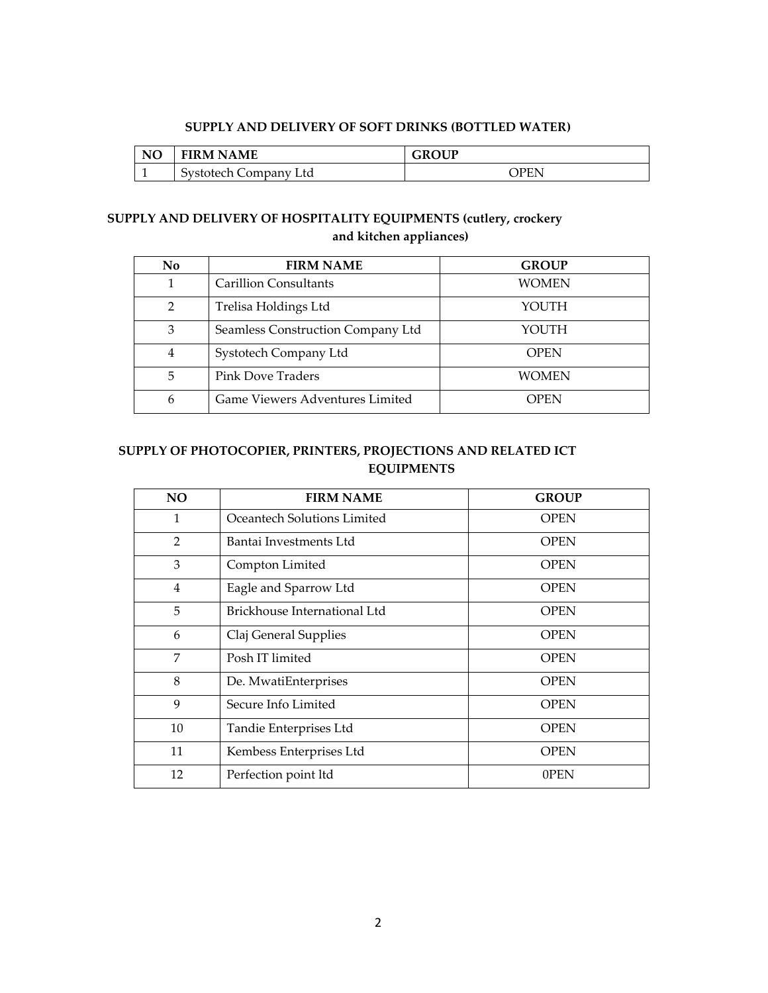#### **SUPPLY AND DELIVERY OF SOFT DRINKS (BOTTLED WATER)**

| NO | <b>FIRM NAME</b>      | <b>GROUP</b> |
|----|-----------------------|--------------|
|    | Systotech Company Ltd | <b>PEN</b>   |

# **SUPPLY AND DELIVERY OF HOSPITALITY EQUIPMENTS (cutlery, crockery and kitchen appliances)**

| N <sub>o</sub> | <b>FIRM NAME</b>                  | <b>GROUP</b> |
|----------------|-----------------------------------|--------------|
|                | <b>Carillion Consultants</b>      | WOMEN        |
| $\mathcal{P}$  | Trelisa Holdings Ltd              | YOUTH        |
| 3              | Seamless Construction Company Ltd | YOUTH        |
| 4              | Systotech Company Ltd             | <b>OPEN</b>  |
| 5              | <b>Pink Dove Traders</b>          | <b>WOMEN</b> |
| 6              | Game Viewers Adventures Limited   | <b>OPEN</b>  |

# **SUPPLY OF PHOTOCOPIER, PRINTERS, PROJECTIONS AND RELATED ICT EQUIPMENTS**

| N <sub>O</sub> | <b>FIRM NAME</b>             | <b>GROUP</b> |
|----------------|------------------------------|--------------|
| 1              | Oceantech Solutions Limited  | <b>OPEN</b>  |
| $\overline{2}$ | Bantai Investments Ltd       | <b>OPEN</b>  |
| 3              | Compton Limited              | <b>OPEN</b>  |
| 4              | Eagle and Sparrow Ltd        | <b>OPEN</b>  |
| 5              | Brickhouse International Ltd | <b>OPEN</b>  |
| 6              | Claj General Supplies        | <b>OPEN</b>  |
| 7              | Posh IT limited              | <b>OPEN</b>  |
| 8              | De. MwatiEnterprises         | <b>OPEN</b>  |
| 9              | Secure Info Limited          | <b>OPEN</b>  |
| 10             | Tandie Enterprises Ltd       | <b>OPEN</b>  |
| 11             | Kembess Enterprises Ltd      | <b>OPEN</b>  |
| 12             | Perfection point ltd         | 0PEN         |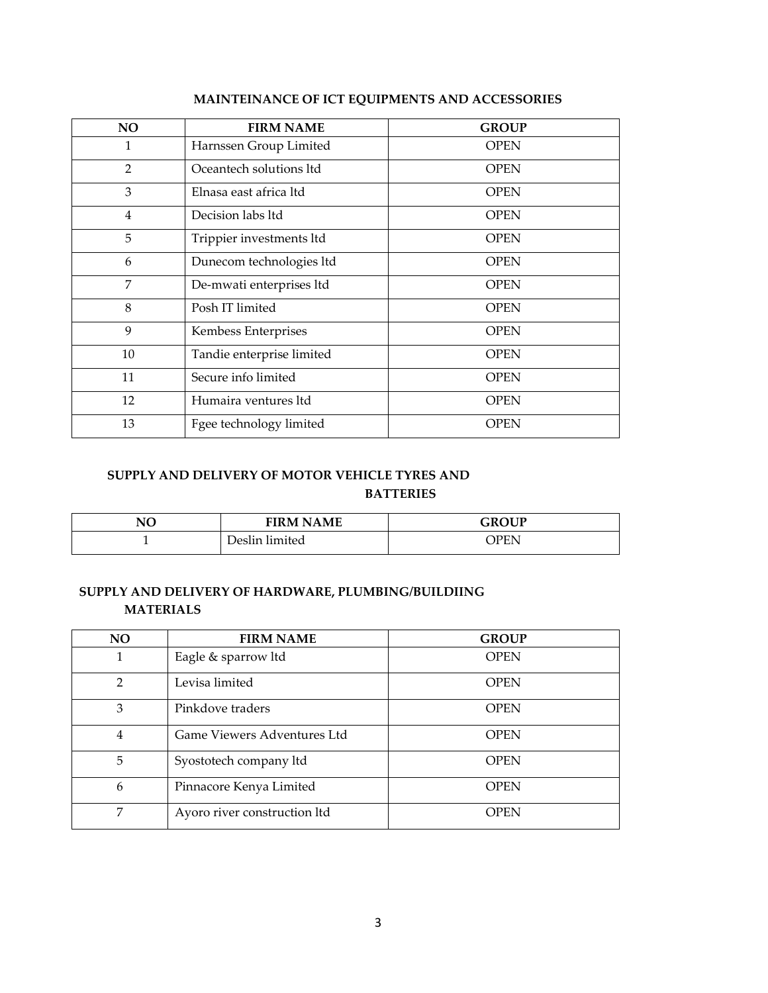| <b>NO</b> | <b>FIRM NAME</b>          | <b>GROUP</b> |
|-----------|---------------------------|--------------|
| 1         | Harnssen Group Limited    | <b>OPEN</b>  |
| 2         | Oceantech solutions ltd   | <b>OPEN</b>  |
| 3         | Elnasa east africa ltd    | <b>OPEN</b>  |
| 4         | Decision labs ltd         | <b>OPEN</b>  |
| 5         | Trippier investments ltd  | <b>OPEN</b>  |
| 6         | Dunecom technologies ltd  | <b>OPEN</b>  |
| 7         | De-mwati enterprises ltd  | <b>OPEN</b>  |
| 8         | Posh IT limited           | <b>OPEN</b>  |
| 9         | Kembess Enterprises       | <b>OPEN</b>  |
| 10        | Tandie enterprise limited | <b>OPEN</b>  |
| 11        | Secure info limited       | <b>OPEN</b>  |
| 12        | Humaira ventures ltd      | OPEN         |
| 13        | Fgee technology limited   | OPEN         |

## **MAINTEINANCE OF ICT EQUIPMENTS AND ACCESSORIES**

# **SUPPLY AND DELIVERY OF MOTOR VEHICLE TYRES AND BATTERIES**

| NO | <b>FIRM NAME</b> | <b>GROUP</b> |
|----|------------------|--------------|
|    | Deslin limited   | <b>PEN</b>   |

### **SUPPLY AND DELIVERY OF HARDWARE, PLUMBING/BUILDIING MATERIALS**

| N <sub>O</sub> | <b>FIRM NAME</b>             | <b>GROUP</b> |
|----------------|------------------------------|--------------|
|                | Eagle & sparrow ltd          | <b>OPEN</b>  |
| $\mathfrak{p}$ | Levisa limited               | <b>OPEN</b>  |
| 3              | Pinkdove traders             | <b>OPEN</b>  |
| $\overline{4}$ | Game Viewers Adventures Ltd  | <b>OPEN</b>  |
| 5              | Syostotech company ltd       | <b>OPEN</b>  |
| 6              | Pinnacore Kenya Limited      | <b>OPEN</b>  |
| 7              | Ayoro river construction ltd | <b>OPEN</b>  |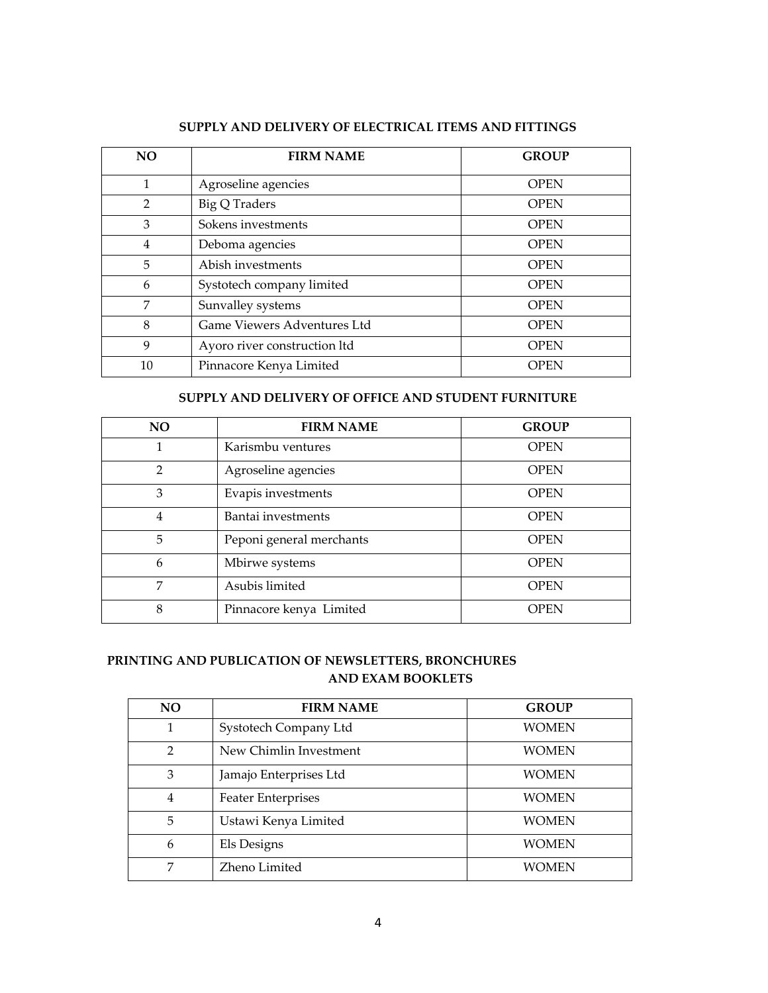| <b>NO</b>      | <b>FIRM NAME</b>             | <b>GROUP</b> |
|----------------|------------------------------|--------------|
| 1              | Agroseline agencies          | <b>OPEN</b>  |
| $\overline{2}$ | <b>Big Q Traders</b>         | <b>OPEN</b>  |
| 3              | Sokens investments           | <b>OPEN</b>  |
| 4              | Deboma agencies              | <b>OPEN</b>  |
| 5              | Abish investments            | <b>OPEN</b>  |
| 6              | Systotech company limited    | <b>OPEN</b>  |
| 7              | Sunvalley systems            | <b>OPEN</b>  |
| 8              | Game Viewers Adventures Ltd  | <b>OPEN</b>  |
| 9              | Ayoro river construction ltd | <b>OPEN</b>  |
| 10             | Pinnacore Kenya Limited      | <b>OPEN</b>  |

### **SUPPLY AND DELIVERY OF ELECTRICAL ITEMS AND FITTINGS**

### **SUPPLY AND DELIVERY OF OFFICE AND STUDENT FURNITURE**

| <b>NO</b>      | <b>FIRM NAME</b>         | <b>GROUP</b> |
|----------------|--------------------------|--------------|
|                | Karismbu ventures        | <b>OPEN</b>  |
| $\mathfrak{D}$ | Agroseline agencies      | <b>OPEN</b>  |
| 3              | Evapis investments       | <b>OPEN</b>  |
| 4              | Bantai investments       | <b>OPEN</b>  |
| 5              | Peponi general merchants | <b>OPEN</b>  |
| 6              | Mbirwe systems           | <b>OPEN</b>  |
| 7              | Asubis limited           | <b>OPEN</b>  |
| 8              | Pinnacore kenya Limited  | OPEN         |

### **PRINTING AND PUBLICATION OF NEWSLETTERS, BRONCHURES AND EXAM BOOKLETS**

| <b>NO</b>      | <b>FIRM NAME</b>          | <b>GROUP</b> |
|----------------|---------------------------|--------------|
|                | Systotech Company Ltd     | WOMEN        |
| $\mathfrak{D}$ | New Chimlin Investment    | WOMEN        |
| 3              | Jamajo Enterprises Ltd    | WOMEN        |
| $\overline{4}$ | <b>Feater Enterprises</b> | <b>WOMEN</b> |
| 5              | Ustawi Kenya Limited      | <b>WOMEN</b> |
| 6              | Els Designs               | WOMEN        |
| 7              | Zheno Limited             | WOMEN        |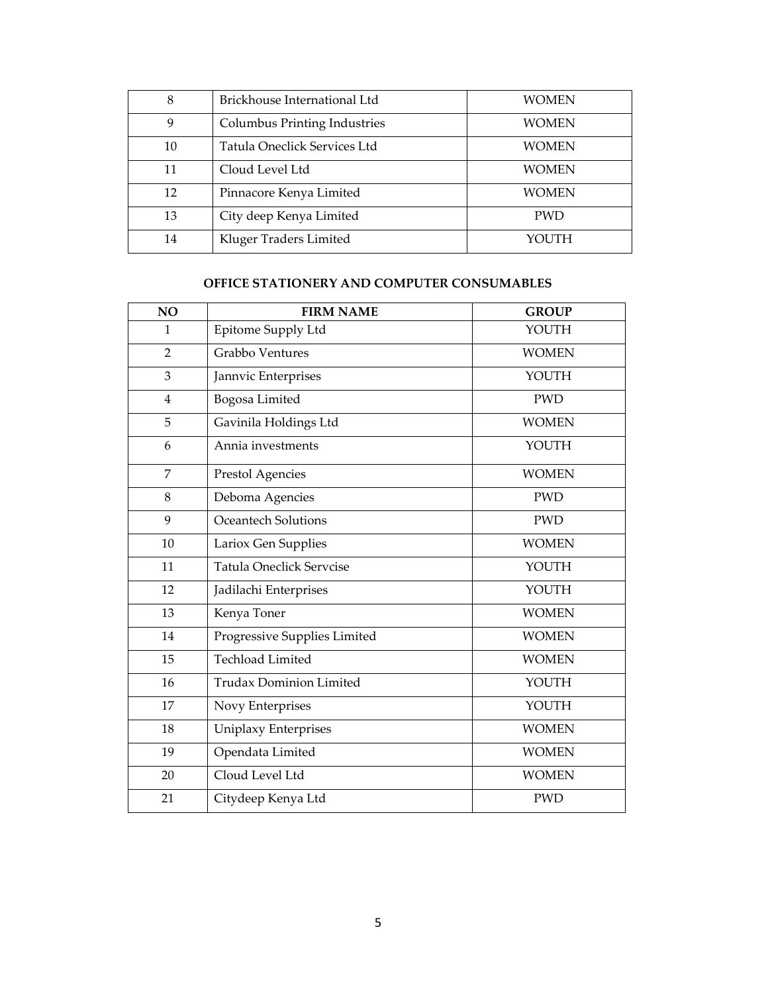| 8  | Brickhouse International Ltd | WOMEN      |
|----|------------------------------|------------|
| 9  | Columbus Printing Industries | WOMEN      |
| 10 | Tatula Oneclick Services Ltd | WOMEN      |
| 11 | Cloud Level Ltd              | WOMEN      |
| 12 | Pinnacore Kenya Limited      | WOMEN      |
| 13 | City deep Kenya Limited      | <b>PWD</b> |
| 14 | Kluger Traders Limited       | YOUTH      |

# **OFFICE STATIONERY AND COMPUTER CONSUMABLES**

| NO             | <b>FIRM NAME</b>                | <b>GROUP</b> |
|----------------|---------------------------------|--------------|
| $\mathbf{1}$   | Epitome Supply Ltd              | YOUTH        |
| $\overline{2}$ | Grabbo Ventures                 | <b>WOMEN</b> |
| 3              | Jannvic Enterprises             | YOUTH        |
| $\overline{4}$ | Bogosa Limited                  | <b>PWD</b>   |
| 5              | Gavinila Holdings Ltd           | <b>WOMEN</b> |
| 6              | Annia investments               | YOUTH        |
| 7              | <b>Prestol Agencies</b>         | <b>WOMEN</b> |
| 8              | Deboma Agencies                 | <b>PWD</b>   |
| 9              | Oceantech Solutions             | <b>PWD</b>   |
| 10             | Lariox Gen Supplies             | <b>WOMEN</b> |
| 11             | <b>Tatula Oneclick Servcise</b> | YOUTH        |
| 12             | Jadilachi Enterprises           | YOUTH        |
| 13             | Kenya Toner                     | <b>WOMEN</b> |
| 14             | Progressive Supplies Limited    | <b>WOMEN</b> |
| 15             | <b>Techload Limited</b>         | <b>WOMEN</b> |
| 16             | <b>Trudax Dominion Limited</b>  | YOUTH        |
| 17             | Novy Enterprises                | YOUTH        |
| 18             | Uniplaxy Enterprises            | <b>WOMEN</b> |
| 19             | Opendata Limited                | <b>WOMEN</b> |
| 20             | Cloud Level Ltd                 | <b>WOMEN</b> |
| 21             | Citydeep Kenya Ltd              | <b>PWD</b>   |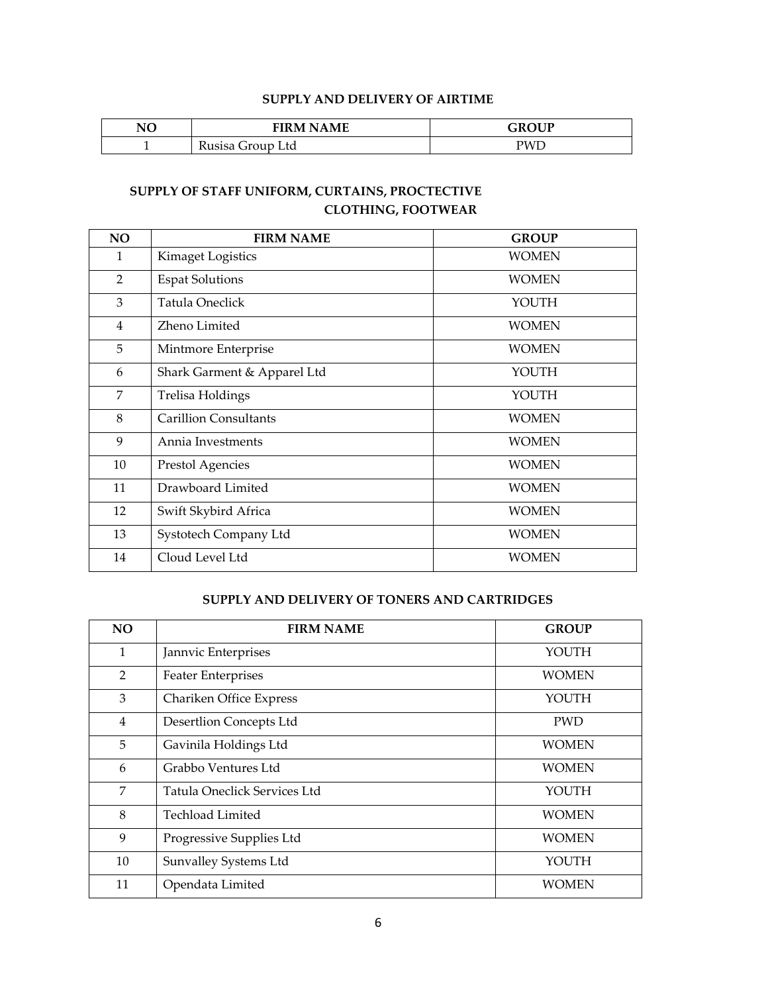### **SUPPLY AND DELIVERY OF AIRTIME**

| NO | <b>FIRM NAME</b>             | GROUP |
|----|------------------------------|-------|
|    | Group Ltd<br>Kusisa <i>I</i> | PWL   |

# **SUPPLY OF STAFF UNIFORM, CURTAINS, PROCTECTIVE CLOTHING, FOOTWEAR**

| <b>NO</b> | <b>FIRM NAME</b>             | <b>GROUP</b> |
|-----------|------------------------------|--------------|
| 1         | Kimaget Logistics            | <b>WOMEN</b> |
| 2         | <b>Espat Solutions</b>       | <b>WOMEN</b> |
| 3         | Tatula Oneclick              | YOUTH        |
| 4         | Zheno Limited                | <b>WOMEN</b> |
| 5         | Mintmore Enterprise          | <b>WOMEN</b> |
| 6         | Shark Garment & Apparel Ltd  | YOUTH        |
| 7         | Trelisa Holdings             | YOUTH        |
| 8         | <b>Carillion Consultants</b> | <b>WOMEN</b> |
| 9         | Annia Investments            | <b>WOMEN</b> |
| 10        | Prestol Agencies             | <b>WOMEN</b> |
| 11        | Drawboard Limited            | <b>WOMEN</b> |
| 12        | Swift Skybird Africa         | <b>WOMEN</b> |
| 13        | Systotech Company Ltd        | <b>WOMEN</b> |
| 14        | Cloud Level Ltd              | <b>WOMEN</b> |

#### **SUPPLY AND DELIVERY OF TONERS AND CARTRIDGES**

| NO             | <b>FIRM NAME</b>             | <b>GROUP</b> |
|----------------|------------------------------|--------------|
| 1              | Jannvic Enterprises          | YOUTH        |
| 2              | <b>Feater Enterprises</b>    | <b>WOMEN</b> |
| 3              | Chariken Office Express      | YOUTH        |
| $\overline{4}$ | Desertlion Concepts Ltd      | <b>PWD</b>   |
| 5              | Gavinila Holdings Ltd        | <b>WOMEN</b> |
| 6              | Grabbo Ventures Ltd          | <b>WOMEN</b> |
| 7              | Tatula Oneclick Services Ltd | YOUTH        |
| 8              | <b>Techload Limited</b>      | <b>WOMEN</b> |
| 9              | Progressive Supplies Ltd     | <b>WOMEN</b> |
| 10             | Sunvalley Systems Ltd        | YOUTH        |
| 11             | Opendata Limited             | <b>WOMEN</b> |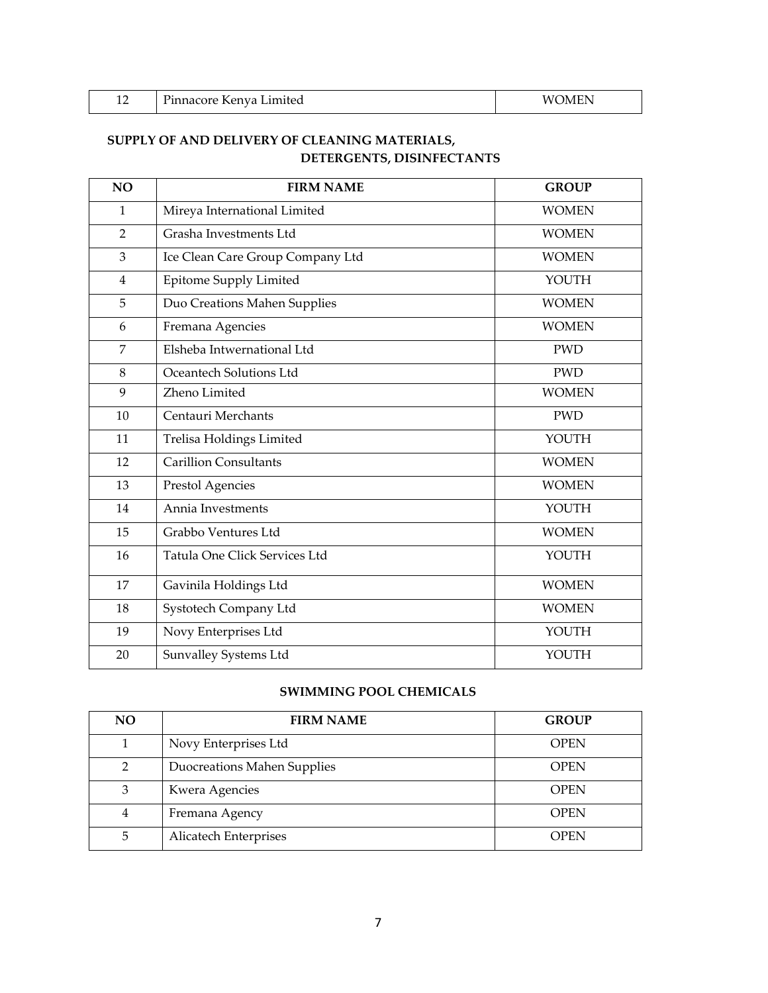| ┸ | $\mathbf{r}$<br>Limited<br>Pinnacore Kenya L | $- - - -$<br>M<br>1 N A |
|---|----------------------------------------------|-------------------------|
|   |                                              |                         |

# **SUPPLY OF AND DELIVERY OF CLEANING MATERIALS, DETERGENTS, DISINFECTANTS**

| NO             | <b>FIRM NAME</b>                 | <b>GROUP</b> |
|----------------|----------------------------------|--------------|
| $\mathbf{1}$   | Mireya International Limited     | <b>WOMEN</b> |
| $\overline{2}$ | Grasha Investments Ltd           | <b>WOMEN</b> |
| 3              | Ice Clean Care Group Company Ltd | <b>WOMEN</b> |
| $\overline{4}$ | Epitome Supply Limited           | YOUTH        |
| 5              | Duo Creations Mahen Supplies     | <b>WOMEN</b> |
| 6              | Fremana Agencies                 | <b>WOMEN</b> |
| 7              | Elsheba Intwernational Ltd       | <b>PWD</b>   |
| 8              | Oceantech Solutions Ltd          | <b>PWD</b>   |
| 9              | Zheno Limited                    | <b>WOMEN</b> |
| 10             | Centauri Merchants               | <b>PWD</b>   |
| 11             | Trelisa Holdings Limited         | YOUTH        |
| 12             | <b>Carillion Consultants</b>     | <b>WOMEN</b> |
| 13             | Prestol Agencies                 | <b>WOMEN</b> |
| 14             | Annia Investments                | YOUTH        |
| 15             | Grabbo Ventures Ltd              | <b>WOMEN</b> |
| 16             | Tatula One Click Services Ltd    | YOUTH        |
| 17             | Gavinila Holdings Ltd            | <b>WOMEN</b> |
| 18             | Systotech Company Ltd            | <b>WOMEN</b> |
| 19             | Novy Enterprises Ltd             | YOUTH        |
| 20             | Sunvalley Systems Ltd            | YOUTH        |

## **SWIMMING POOL CHEMICALS**

| <b>NO</b>     | <b>FIRM NAME</b>            | <b>GROUP</b> |
|---------------|-----------------------------|--------------|
|               | Novy Enterprises Ltd        | <b>OPEN</b>  |
| $\mathcal{P}$ | Duocreations Mahen Supplies | <b>OPEN</b>  |
| 3             | Kwera Agencies              | <b>OPEN</b>  |
| 4             | Fremana Agency              | <b>OPEN</b>  |
| 5             | Alicatech Enterprises       | <b>OPEN</b>  |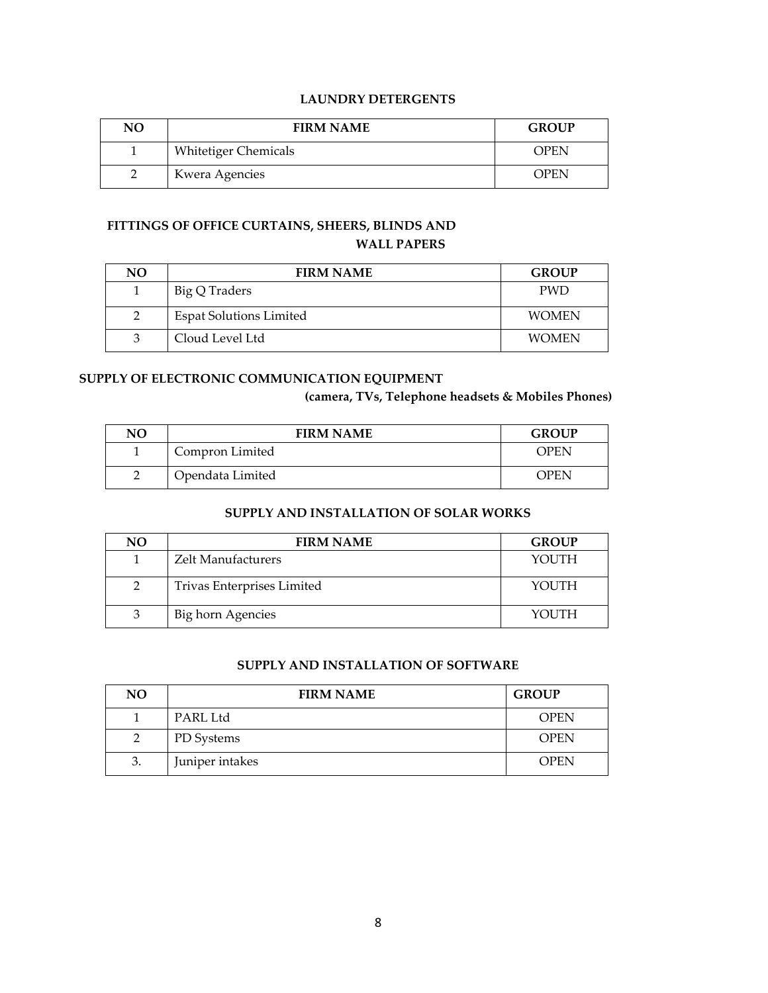### **LAUNDRY DETERGENTS**

| NO | <b>FIRM NAME</b>            | <b>GROUP</b> |
|----|-----------------------------|--------------|
|    | <b>Whitetiger Chemicals</b> | <b>OPEN</b>  |
|    | Kwera Agencies              | <b>OPEN</b>  |

### **FITTINGS OF OFFICE CURTAINS, SHEERS, BLINDS AND WALL PAPERS**

| NO | <b>FIRM NAME</b>               | <b>GROUP</b> |
|----|--------------------------------|--------------|
|    | Big Q Traders                  | <b>PWD</b>   |
|    | <b>Espat Solutions Limited</b> | <b>WOMEN</b> |
| 3  | Cloud Level Ltd                | <b>WOMEN</b> |

#### **SUPPLY OF ELECTRONIC COMMUNICATION EQUIPMENT**

**(camera, TVs, Telephone headsets & Mobiles Phones)**

| NO | <b>FIRM NAME</b> | <b>GROUP</b> |
|----|------------------|--------------|
|    | Compron Limited  | OPEN         |
|    | Opendata Limited | OPEN         |

### **SUPPLY AND INSTALLATION OF SOLAR WORKS**

| NO. | <b>FIRM NAME</b>           | <b>GROUP</b> |
|-----|----------------------------|--------------|
|     | <b>Zelt Manufacturers</b>  | YOUTH        |
| 2   | Trivas Enterprises Limited | YOUTH        |
| 3   | Big horn Agencies          | YOUTH        |

### **SUPPLY AND INSTALLATION OF SOFTWARE**

| NO. | <b>FIRM NAME</b> | <b>GROUP</b> |
|-----|------------------|--------------|
|     | PARL Ltd         | <b>OPEN</b>  |
| 2   | PD Systems       | <b>OPEN</b>  |
| 3.  | Juniper intakes  | <b>OPEN</b>  |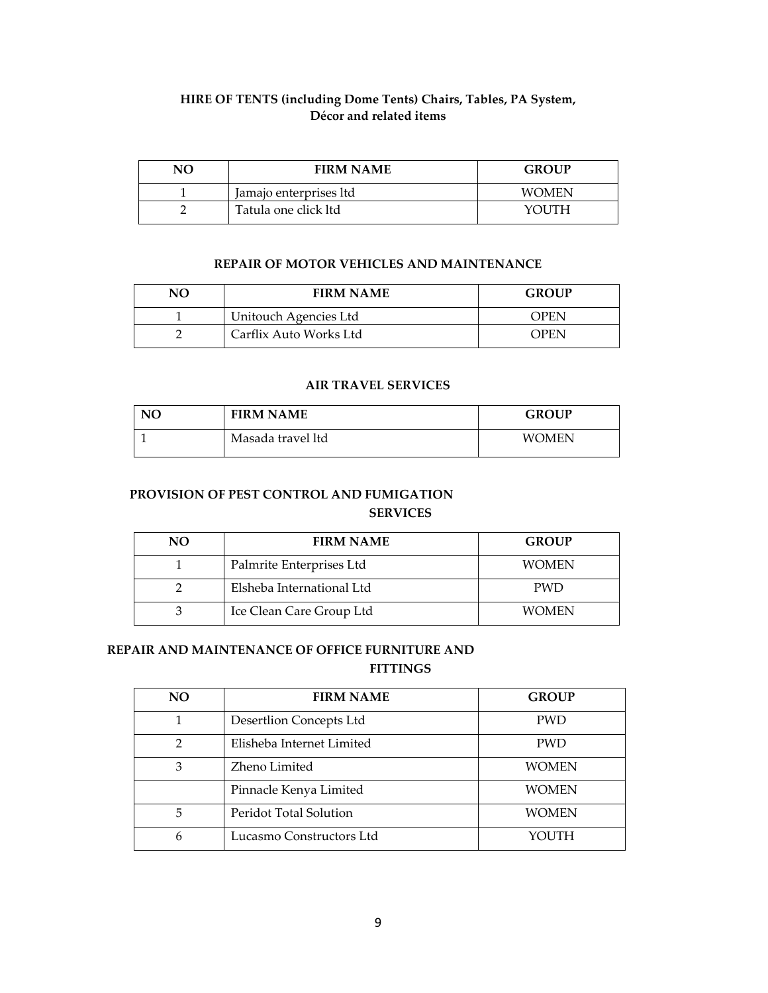# **HIRE OF TENTS (including Dome Tents) Chairs, Tables, PA System, Décor and related items**

| NО | <b>FIRM NAME</b>       | <b>GROUP</b> |
|----|------------------------|--------------|
|    | Jamajo enterprises ltd | <b>WOMEN</b> |
|    | Tatula one click ltd   | YOUTH        |

#### **REPAIR OF MOTOR VEHICLES AND MAINTENANCE**

| NΟ | <b>FIRM NAME</b>       | <b>GROUP</b> |
|----|------------------------|--------------|
|    | Unitouch Agencies Ltd  | <b>OPEN</b>  |
|    | Carflix Auto Works Ltd | OPEN         |

#### **AIR TRAVEL SERVICES**

| NO | <b>FIRM NAME</b>  | <b>GROUP</b> |
|----|-------------------|--------------|
|    | Masada travel ltd | <b>WOMEN</b> |

## **PROVISION OF PEST CONTROL AND FUMIGATION SERVICES**

| NO | <b>FIRM NAME</b>          | <b>GROUP</b> |
|----|---------------------------|--------------|
|    | Palmrite Enterprises Ltd  | <b>WOMEN</b> |
|    | Elsheba International Ltd | <b>PWD</b>   |
|    | Ice Clean Care Group Ltd  | WOMEN        |

#### **REPAIR AND MAINTENANCE OF OFFICE FURNITURE AND FITTINGS**

| NO. | <b>FIRM NAME</b>          | <b>GROUP</b> |
|-----|---------------------------|--------------|
|     | Desertlion Concepts Ltd   | <b>PWD</b>   |
| 2   | Elisheba Internet Limited | <b>PWD</b>   |
| 3   | Zheno Limited             | <b>WOMEN</b> |
|     | Pinnacle Kenya Limited    | <b>WOMEN</b> |
| 5   | Peridot Total Solution    | <b>WOMEN</b> |
| 6   | Lucasmo Constructors Ltd  | YOUTH        |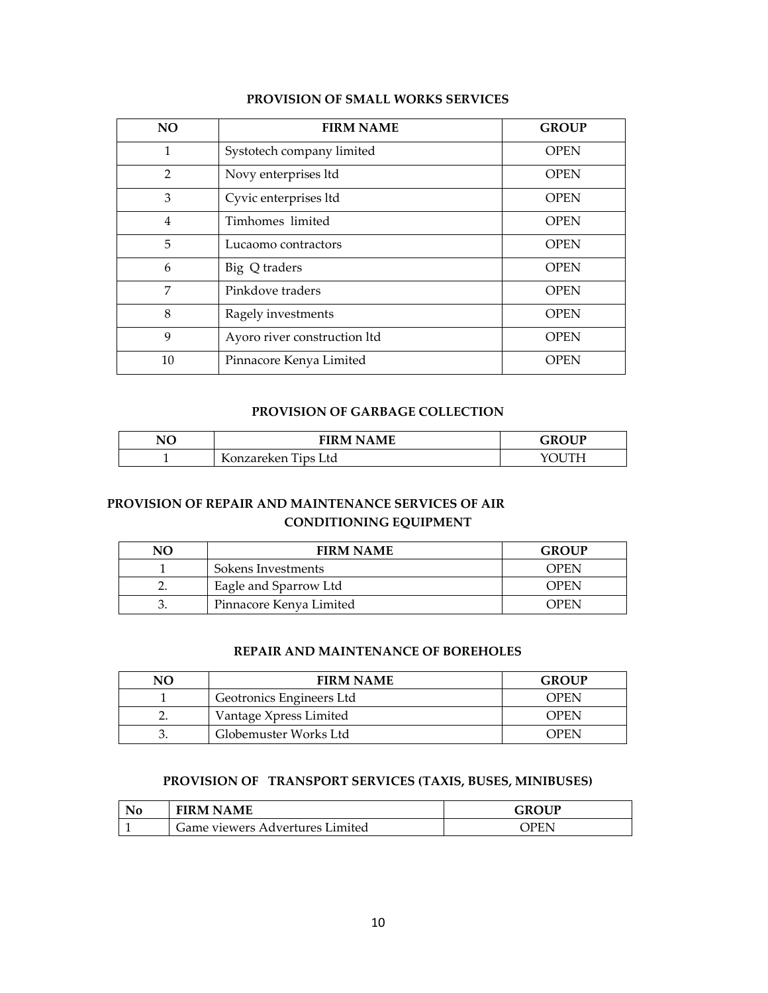| NO <sub>1</sub> | <b>FIRM NAME</b>             | <b>GROUP</b> |
|-----------------|------------------------------|--------------|
| 1               | Systotech company limited    | <b>OPEN</b>  |
| $\mathfrak{D}$  | Novy enterprises ltd         | <b>OPEN</b>  |
| 3               | Cyvic enterprises ltd        | <b>OPEN</b>  |
| $\overline{4}$  | Timhomes limited             | <b>OPEN</b>  |
| 5               | Lucaomo contractors          | <b>OPEN</b>  |
| 6               | Big Q traders                | <b>OPEN</b>  |
| 7               | Pinkdove traders             | <b>OPEN</b>  |
| 8               | Ragely investments           | <b>OPEN</b>  |
| 9               | Ayoro river construction ltd | <b>OPEN</b>  |
| 10              | Pinnacore Kenya Limited      | <b>OPEN</b>  |

#### **PROVISION OF SMALL WORKS SERVICES**

#### **PROVISION OF GARBAGE COLLECTION**

| NO | <b>FIRM NAME</b>    | OUP<br>-R' |
|----|---------------------|------------|
|    | Konzareken Tips Ltd |            |

# **PROVISION OF REPAIR AND MAINTENANCE SERVICES OF AIR CONDITIONING EQUIPMENT**

| NΟ | <b>FIRM NAME</b>        | <b>GROUP</b> |
|----|-------------------------|--------------|
|    | Sokens Investments      | OPEN         |
|    | Eagle and Sparrow Ltd   | OPEN         |
| ັ. | Pinnacore Kenya Limited | OPEN         |

### **REPAIR AND MAINTENANCE OF BOREHOLES**

| NΟ | <b>FIRM NAME</b>         | <b>GROUP</b> |
|----|--------------------------|--------------|
|    | Geotronics Engineers Ltd | OPEN         |
|    | Vantage Xpress Limited   | <b>OPEN</b>  |
|    | Globemuster Works Ltd    | OPEN         |

### **PROVISION OF TRANSPORT SERVICES (TAXIS, BUSES, MINIBUSES)**

| <b>FIRM NAME</b>                | GROUP |
|---------------------------------|-------|
| Game viewers Advertures Limited | )PEN  |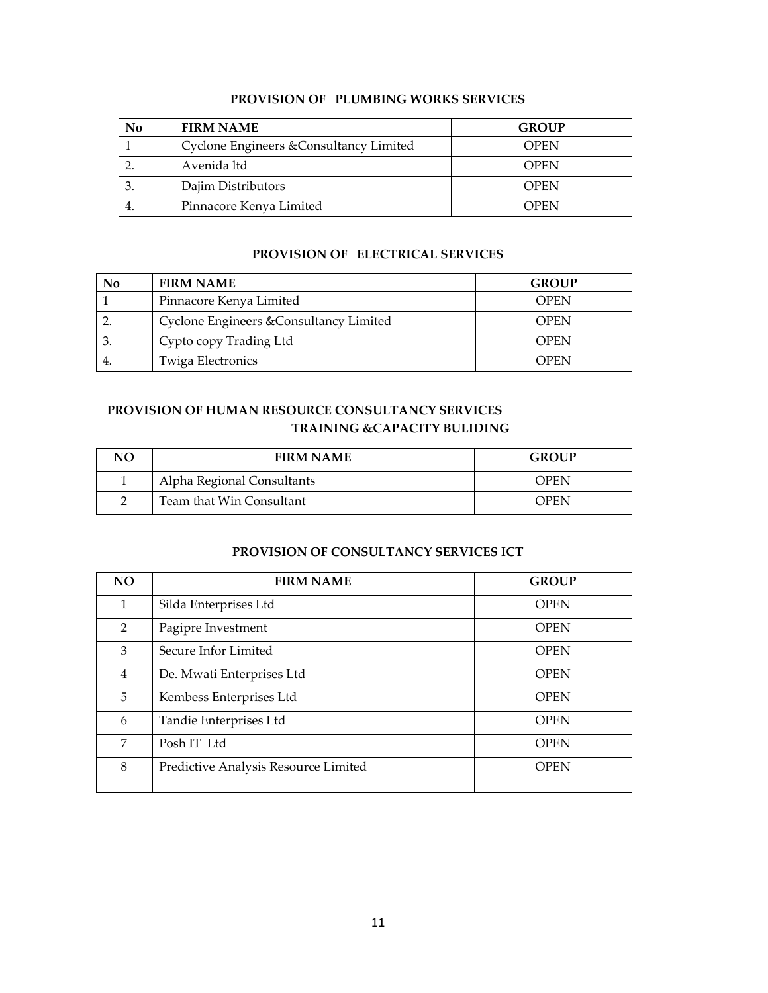|  | <b>PROVISION OF PLUMBING WORKS SERVICES</b> |
|--|---------------------------------------------|
|--|---------------------------------------------|

| No | <b>FIRM NAME</b>                        | <b>GROUP</b> |
|----|-----------------------------------------|--------------|
|    | Cyclone Engineers & Consultancy Limited | <b>OPEN</b>  |
|    | Avenida ltd                             | <b>OPEN</b>  |
|    | Dajim Distributors                      | <b>OPEN</b>  |
|    | Pinnacore Kenya Limited                 | OPEN         |

#### **PROVISION OF ELECTRICAL SERVICES**

| No | <b>FIRM NAME</b>                        | <b>GROUP</b> |
|----|-----------------------------------------|--------------|
|    | Pinnacore Kenya Limited                 | <b>OPEN</b>  |
|    | Cyclone Engineers & Consultancy Limited | <b>OPEN</b>  |
|    | Cypto copy Trading Ltd                  | <b>OPEN</b>  |
|    | Twiga Electronics                       | OPEN         |

# **PROVISION OF HUMAN RESOURCE CONSULTANCY SERVICES TRAINING &CAPACITY BULIDING**

| NО | <b>FIRM NAME</b>           | <b>GROUP</b> |
|----|----------------------------|--------------|
|    | Alpha Regional Consultants | <b>OPEN</b>  |
|    | Team that Win Consultant   | <b>OPEN</b>  |

### **PROVISION OF CONSULTANCY SERVICES ICT**

| NO.            | <b>FIRM NAME</b>                     | <b>GROUP</b> |
|----------------|--------------------------------------|--------------|
| 1              | Silda Enterprises Ltd                | <b>OPEN</b>  |
| $\overline{2}$ | Pagipre Investment                   | <b>OPEN</b>  |
| 3              | Secure Infor Limited                 | <b>OPEN</b>  |
| 4              | De. Mwati Enterprises Ltd            | <b>OPEN</b>  |
| 5              | Kembess Enterprises Ltd              | <b>OPEN</b>  |
| 6              | Tandie Enterprises Ltd               | <b>OPEN</b>  |
| 7              | Posh IT Ltd                          | <b>OPEN</b>  |
| 8              | Predictive Analysis Resource Limited | <b>OPEN</b>  |